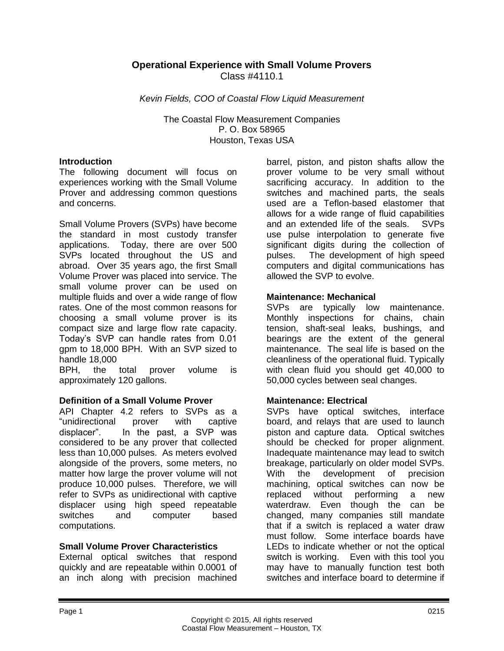#### **Operational Experience with Small Volume Provers** Class #4110.1

*Kevin Fields, COO of Coastal Flow Liquid Measurement*

The Coastal Flow Measurement Companies P. O. Box 58965 Houston, Texas USA

#### **Introduction**

The following document will focus on experiences working with the Small Volume Prover and addressing common questions and concerns.

Small Volume Provers (SVPs) have become the standard in most custody transfer applications. Today, there are over 500 SVPs located throughout the US and abroad. Over 35 years ago, the first Small Volume Prover was placed into service. The small volume prover can be used on multiple fluids and over a wide range of flow rates. One of the most common reasons for choosing a small volume prover is its compact size and large flow rate capacity. Today's SVP can handle rates from 0.01 gpm to 18,000 BPH. With an SVP sized to handle 18,000

BPH, the total prover volume is approximately 120 gallons.

#### **Definition of a Small Volume Prover**

API Chapter 4.2 refers to SVPs as a "unidirectional prover with captive displacer". In the past, a SVP was considered to be any prover that collected less than 10,000 pulses. As meters evolved alongside of the provers, some meters, no matter how large the prover volume will not produce 10,000 pulses. Therefore, we will refer to SVPs as unidirectional with captive displacer using high speed repeatable switches and computer based computations.

#### **Small Volume Prover Characteristics**

External optical switches that respond quickly and are repeatable within 0.0001 of an inch along with precision machined barrel, piston, and piston shafts allow the prover volume to be very small without sacrificing accuracy. In addition to the switches and machined parts, the seals used are a Teflon-based elastomer that allows for a wide range of fluid capabilities and an extended life of the seals. SVPs use pulse interpolation to generate five significant digits during the collection of pulses. The development of high speed computers and digital communications has allowed the SVP to evolve.

#### **Maintenance: Mechanical**

SVPs are typically low maintenance. Monthly inspections for chains, chain tension, shaft-seal leaks, bushings, and bearings are the extent of the general maintenance. The seal life is based on the cleanliness of the operational fluid. Typically with clean fluid you should get 40,000 to 50,000 cycles between seal changes.

#### **Maintenance: Electrical**

SVPs have optical switches, interface board, and relays that are used to launch piston and capture data. Optical switches should be checked for proper alignment. Inadequate maintenance may lead to switch breakage, particularly on older model SVPs. With the development of precision machining, optical switches can now be replaced without performing a new waterdraw. Even though the can be changed, many companies still mandate that if a switch is replaced a water draw must follow. Some interface boards have LEDs to indicate whether or not the optical switch is working. Even with this tool you may have to manually function test both switches and interface board to determine if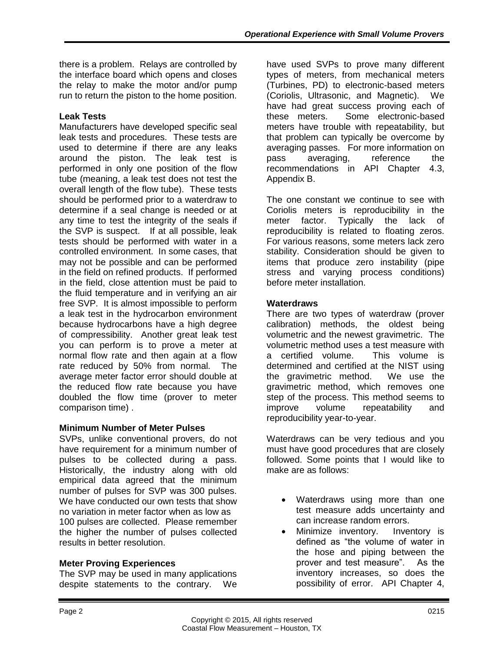there is a problem. Relays are controlled by the interface board which opens and closes the relay to make the motor and/or pump run to return the piston to the home position.

## **Leak Tests**

Manufacturers have developed specific seal leak tests and procedures. These tests are used to determine if there are any leaks around the piston. The leak test is performed in only one position of the flow tube (meaning, a leak test does not test the overall length of the flow tube). These tests should be performed prior to a waterdraw to determine if a seal change is needed or at any time to test the integrity of the seals if the SVP is suspect. If at all possible, leak tests should be performed with water in a controlled environment. In some cases, that may not be possible and can be performed in the field on refined products. If performed in the field, close attention must be paid to the fluid temperature and in verifying an air free SVP. It is almost impossible to perform a leak test in the hydrocarbon environment because hydrocarbons have a high degree of compressibility. Another great leak test you can perform is to prove a meter at normal flow rate and then again at a flow rate reduced by 50% from normal. The average meter factor error should double at the reduced flow rate because you have doubled the flow time (prover to meter comparison time) .

# **Minimum Number of Meter Pulses**

SVPs, unlike conventional provers, do not have requirement for a minimum number of pulses to be collected during a pass. Historically, the industry along with old empirical data agreed that the minimum number of pulses for SVP was 300 pulses. We have conducted our own tests that show no variation in meter factor when as low as 100 pulses are collected. Please remember the higher the number of pulses collected results in better resolution.

# **Meter Proving Experiences**

The SVP may be used in many applications despite statements to the contrary. We

have used SVPs to prove many different types of meters, from mechanical meters (Turbines, PD) to electronic-based meters (Coriolis, Ultrasonic, and Magnetic). We have had great success proving each of these meters. Some electronic-based meters have trouble with repeatability, but that problem can typically be overcome by averaging passes. For more information on pass averaging, reference the recommendations in API Chapter 4.3, Appendix B.

The one constant we continue to see with Coriolis meters is reproducibility in the meter factor. Typically the lack of reproducibility is related to floating zeros. For various reasons, some meters lack zero stability. Consideration should be given to items that produce zero instability (pipe stress and varying process conditions) before meter installation.

## **Waterdraws**

There are two types of waterdraw (prover calibration) methods, the oldest being volumetric and the newest gravimetric. The volumetric method uses a test measure with a certified volume. This volume is determined and certified at the NIST using the gravimetric method. We use the gravimetric method, which removes one step of the process. This method seems to improve volume repeatability and reproducibility year-to-year.

Waterdraws can be very tedious and you must have good procedures that are closely followed. Some points that I would like to make are as follows:

- Waterdraws using more than one test measure adds uncertainty and can increase random errors.
- Minimize inventory. Inventory is defined as "the volume of water in the hose and piping between the prover and test measure". As the inventory increases, so does the possibility of error. API Chapter 4,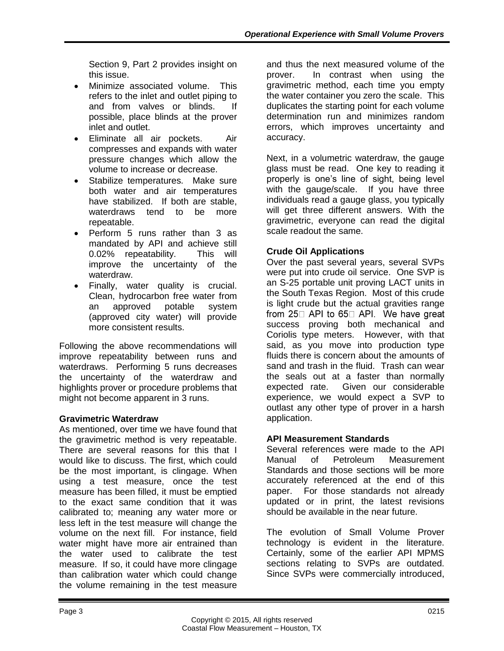Section 9, Part 2 provides insight on this issue.

- Minimize associated volume. This refers to the inlet and outlet piping to and from valves or blinds. If possible, place blinds at the prover inlet and outlet.
- Eliminate all air pockets. Air compresses and expands with water pressure changes which allow the volume to increase or decrease.
- Stabilize temperatures. Make sure both water and air temperatures have stabilized. If both are stable, waterdraws tend to be more repeatable.
- Perform 5 runs rather than 3 as mandated by API and achieve still 0.02% repeatability. This will improve the uncertainty of the waterdraw.
- Finally, water quality is crucial. Clean, hydrocarbon free water from an approved potable system (approved city water) will provide more consistent results.

Following the above recommendations will improve repeatability between runs and waterdraws. Performing 5 runs decreases the uncertainty of the waterdraw and highlights prover or procedure problems that might not become apparent in 3 runs.

# **Gravimetric Waterdraw**

As mentioned, over time we have found that the gravimetric method is very repeatable. There are several reasons for this that I would like to discuss. The first, which could be the most important, is clingage. When using a test measure, once the test measure has been filled, it must be emptied to the exact same condition that it was calibrated to; meaning any water more or less left in the test measure will change the volume on the next fill. For instance, field water might have more air entrained than the water used to calibrate the test measure. If so, it could have more clingage than calibration water which could change the volume remaining in the test measure

and thus the next measured volume of the prover. In contrast when using the gravimetric method, each time you empty the water container you zero the scale. This duplicates the starting point for each volume determination run and minimizes random errors, which improves uncertainty and accuracy.

Next, in a volumetric waterdraw, the gauge glass must be read. One key to reading it properly is one's line of sight, being level with the gauge/scale. If you have three individuals read a gauge glass, you typically will get three different answers. With the gravimetric, everyone can read the digital scale readout the same.

# **Crude Oil Applications**

Over the past several years, several SVPs were put into crude oil service. One SVP is an S-25 portable unit proving LACT units in the South Texas Region. Most of this crude is light crude but the actual gravities range from 25□ API to 65□ API. We have great success proving both mechanical and Coriolis type meters. However, with that said, as you move into production type fluids there is concern about the amounts of sand and trash in the fluid. Trash can wear the seals out at a faster than normally expected rate. Given our considerable experience, we would expect a SVP to outlast any other type of prover in a harsh application.

# **API Measurement Standards**

Several references were made to the API Manual of Petroleum Measurement Standards and those sections will be more accurately referenced at the end of this paper. For those standards not already updated or in print, the latest revisions should be available in the near future.

The evolution of Small Volume Prover technology is evident in the literature. Certainly, some of the earlier API MPMS sections relating to SVPs are outdated. Since SVPs were commercially introduced,